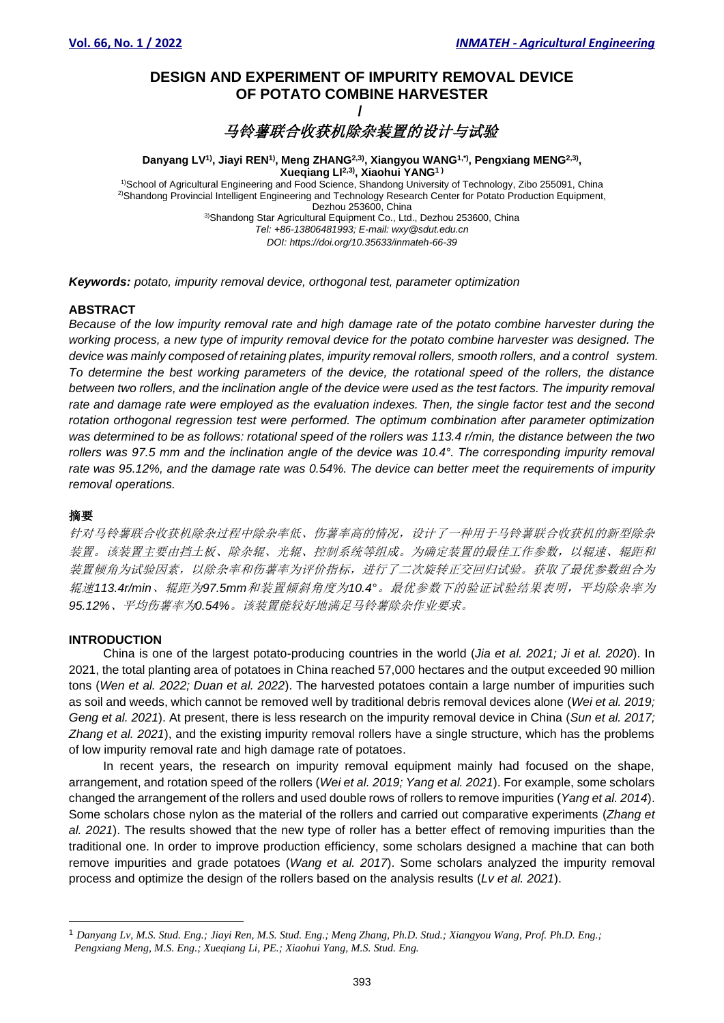# **DESIGN AND EXPERIMENT OF IMPURITY REMOVAL DEVICE OF POTATO COMBINE HARVESTER /**

马铃薯联合收获机除杂装置的设计与试验

**Danyang LV1) , Jiayi REN1), Meng ZHANG2,3) , Xiangyou WANG1,\*), Pengxiang MENG2,3) , Xueqiang LI2,3) , Xiaohui YANG1 )**  1)School of Agricultural Engineering and Food Science, Shandong University of Technology, Zibo 255091, China 2)Shandong Provincial Intelligent Engineering and Technology Research Center for Potato Production Equipment, Dezhou 253600, China 3)Shandong Star Agricultural Equipment Co., Ltd., Dezhou 253600, China *Tel: +86-13806481993; E-mail: wxy@sdut.edu.cn DOI: https://doi.org/10.35633/inmateh-66-39*

*Keywords: potato, impurity removal device, orthogonal test, parameter optimization*

# **ABSTRACT**

*Because of the low impurity removal rate and high damage rate of the potato combine harvester during the working process, a new type of impurity removal device for the potato combine harvester was designed. The device was mainly composed of retaining plates, impurity removal rollers, smooth rollers, and a control system. To determine the best working parameters of the device, the rotational speed of the rollers, the distance between two rollers, and the inclination angle of the device were used as the test factors. The impurity removal rate and damage rate were employed as the evaluation indexes. Then, the single factor test and the second rotation orthogonal regression test were performed. The optimum combination after parameter optimization was determined to be as follows: rotational speed of the rollers was 113.4 r/min, the distance between the two rollers was 97.5 mm and the inclination angle of the device was 10.4°. The corresponding impurity removal rate was 95.12%, and the damage rate was 0.54%. The device can better meet the requirements of impurity removal operations.*

#### 摘要

针对马铃薯联合收获机除杂过程中除杂率低、伤薯率高的情况,设计了一种用于马铃薯联合收获机的新型除杂 装置。该装置主要由挡土板、除杂辊、光辊、控制系统等组成。为确定装置的最佳工作参数,以辊速、辊距和 装置倾角为试验因素,以除杂率和伤薯率为评价指标,进行了二次旋转正交回归试验。获取了最优参数组合为 辊速*113.4r/min*、辊距为*97.5mm*和装置倾斜角度为*10.4°*。最优参数下的验证试验结果表明,平均除杂率为 *95.12%*、平均伤薯率为*0.54%*。该装置能较好地满足马铃薯除杂作业要求。

#### **INTRODUCTION**

China is one of the largest potato-producing countries in the world (*Jia et al. 2021; Ji et al. 2020*). In 2021, the total planting area of potatoes in China reached 57,000 hectares and the output exceeded 90 million tons (*Wen et al. 2022; Duan et al. 2022*). The harvested potatoes contain a large number of impurities such as soil and weeds, which cannot be removed well by traditional debris removal devices alone (*Wei et al. 2019; Geng et al. 2021*). At present, there is less research on the impurity removal device in China (*Sun et al. 2017; Zhang et al. 2021*), and the existing impurity removal rollers have a single structure, which has the problems of low impurity removal rate and high damage rate of potatoes.

In recent years, the research on impurity removal equipment mainly had focused on the shape, arrangement, and rotation speed of the rollers (*Wei et al. 2019; Yang et al. 2021*). For example, some scholars changed the arrangement of the rollers and used double rows of rollers to remove impurities (*Yang et al. 2014*). Some scholars chose nylon as the material of the rollers and carried out comparative experiments (*Zhang et al. 2021*). The results showed that the new type of roller has a better effect of removing impurities than the traditional one. In order to improve production efficiency, some scholars designed a machine that can both remove impurities and grade potatoes (*Wang et al. 2017*). Some scholars analyzed the impurity removal process and optimize the design of the rollers based on the analysis results (*Lv et al. 2021*).

<sup>1</sup> *Danyang Lv, M.S. Stud. Eng.; Jiayi Ren, M.S. Stud. Eng.; Meng Zhang, Ph.D. Stud.; Xiangyou Wang, Prof. Ph.D. Eng.; Pengxiang Meng, M.S. Eng.; Xueqiang Li, PE.; Xiaohui Yang, M.S. Stud. Eng.*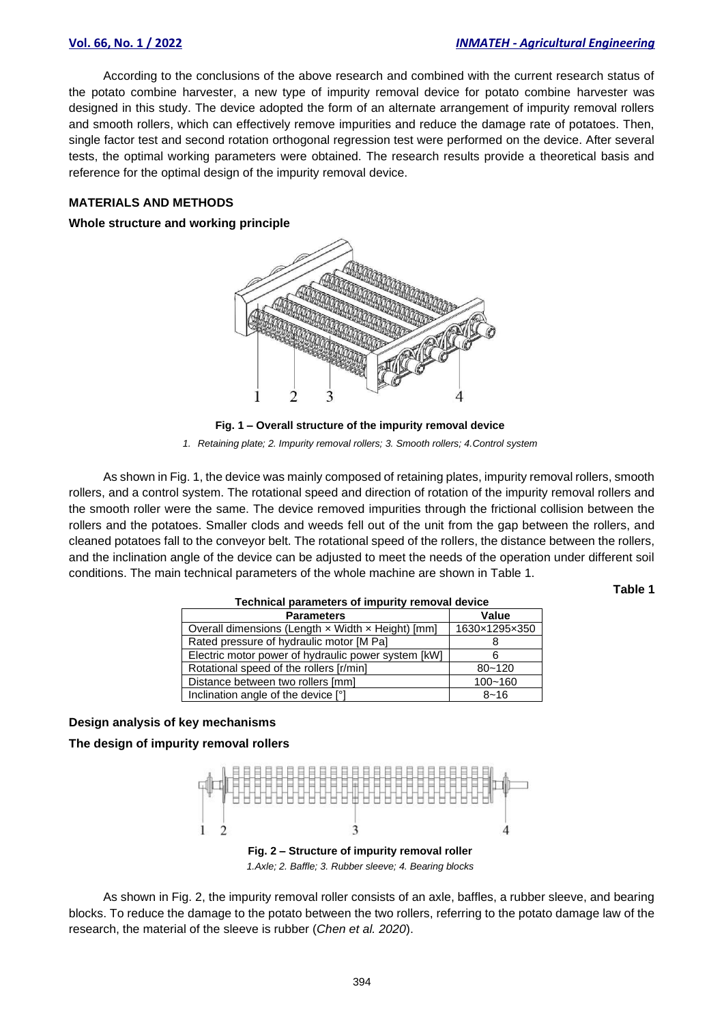According to the conclusions of the above research and combined with the current research status of the potato combine harvester, a new type of impurity removal device for potato combine harvester was designed in this study. The device adopted the form of an alternate arrangement of impurity removal rollers and smooth rollers, which can effectively remove impurities and reduce the damage rate of potatoes. Then, single factor test and second rotation orthogonal regression test were performed on the device. After several tests, the optimal working parameters were obtained. The research results provide a theoretical basis and reference for the optimal design of the impurity removal device.

# **MATERIALS AND METHODS**

#### **Whole structure and working principle**



**Fig. 1 – Overall structure of the impurity removal device**  *1. Retaining plate; 2. Impurity removal rollers; 3. Smooth rollers; 4.Control system*

As shown in Fig. 1, the device was mainly composed of retaining plates, impurity removal rollers, smooth rollers, and a control system. The rotational speed and direction of rotation of the impurity removal rollers and the smooth roller were the same. The device removed impurities through the frictional collision between the rollers and the potatoes. Smaller clods and weeds fell out of the unit from the gap between the rollers, and cleaned potatoes fall to the conveyor belt. The rotational speed of the rollers, the distance between the rollers, and the inclination angle of the device can be adjusted to meet the needs of the operation under different soil conditions. The main technical parameters of the whole machine are shown in Table 1.

**Table 1**

| Technical parameters of impurity removal device     |               |  |  |  |  |
|-----------------------------------------------------|---------------|--|--|--|--|
| <b>Parameters</b>                                   | Value         |  |  |  |  |
| Overall dimensions (Length x Width x Height) [mm]   | 1630×1295×350 |  |  |  |  |
| Rated pressure of hydraulic motor [M Pa]            |               |  |  |  |  |
| Electric motor power of hydraulic power system [kW] |               |  |  |  |  |
| Rotational speed of the rollers [r/min]             | $80 - 120$    |  |  |  |  |
| Distance between two rollers [mm]                   | $100 - 160$   |  |  |  |  |
| Inclination angle of the device [°]                 | $8 - 16$      |  |  |  |  |

#### **Technical parameters of impurity removal device**

# **Design analysis of key mechanisms**

**The design of impurity removal rollers**



*1.Axle; 2. Baffle; 3. Rubber sleeve; 4. Bearing blocks*

As shown in Fig. 2, the impurity removal roller consists of an axle, baffles, a rubber sleeve, and bearing blocks. To reduce the damage to the potato between the two rollers, referring to the potato damage law of the research, the material of the sleeve is rubber (*Chen et al. 2020*).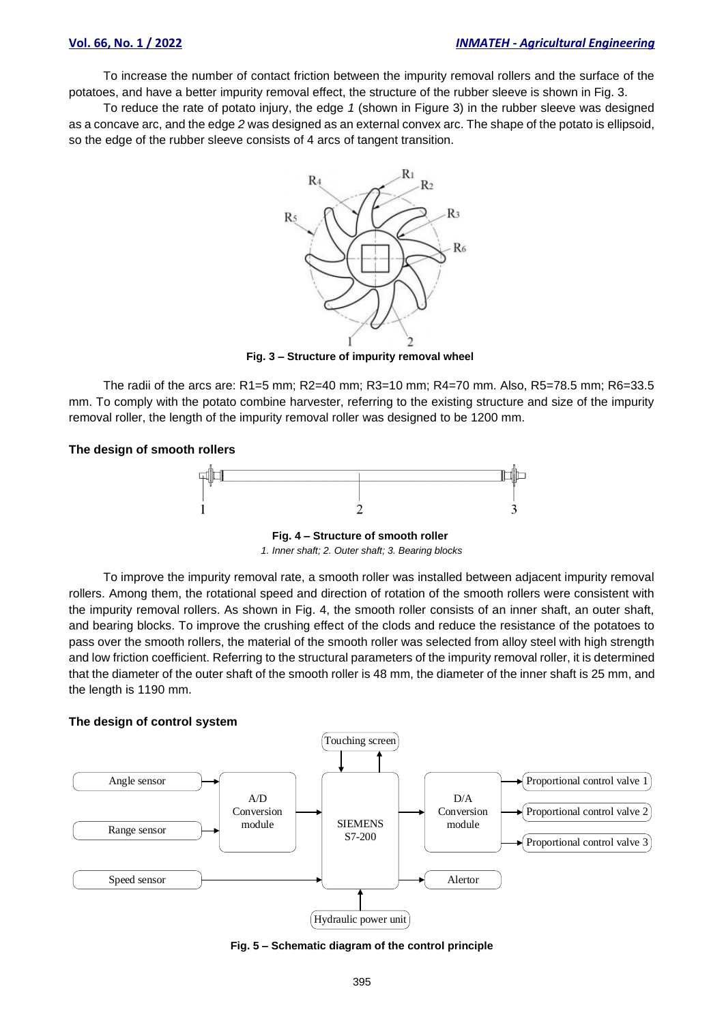To increase the number of contact friction between the impurity removal rollers and the surface of the potatoes, and have a better impurity removal effect, the structure of the rubber sleeve is shown in Fig. 3.

To reduce the rate of potato injury, the edge *1* (shown in Figure 3) in the rubber sleeve was designed as a concave arc, and the edge *2* was designed as an external convex arc. The shape of the potato is ellipsoid, so the edge of the rubber sleeve consists of 4 arcs of tangent transition.



**Fig. 3 – Structure of impurity removal wheel**

The radii of the arcs are: R1=5 mm; R2=40 mm; R3=10 mm; R4=70 mm. Also, R5=78.5 mm; R6=33.5 mm. To comply with the potato combine harvester, referring to the existing structure and size of the impurity removal roller, the length of the impurity removal roller was designed to be 1200 mm.

#### **The design of smooth rollers**



**Fig. 4 – Structure of smooth roller**  *1. Inner shaft; 2. Outer shaft; 3. Bearing blocks*

To improve the impurity removal rate, a smooth roller was installed between adjacent impurity removal rollers. Among them, the rotational speed and direction of rotation of the smooth rollers were consistent with the impurity removal rollers. As shown in Fig. 4, the smooth roller consists of an inner shaft, an outer shaft, and bearing blocks. To improve the crushing effect of the clods and reduce the resistance of the potatoes to pass over the smooth rollers, the material of the smooth roller was selected from alloy steel with high strength and low friction coefficient. Referring to the structural parameters of the impurity removal roller, it is determined that the diameter of the outer shaft of the smooth roller is 48 mm, the diameter of the inner shaft is 25 mm, and the length is 1190 mm.

#### **The design of control system**



**Fig. 5 – Schematic diagram of the control principle**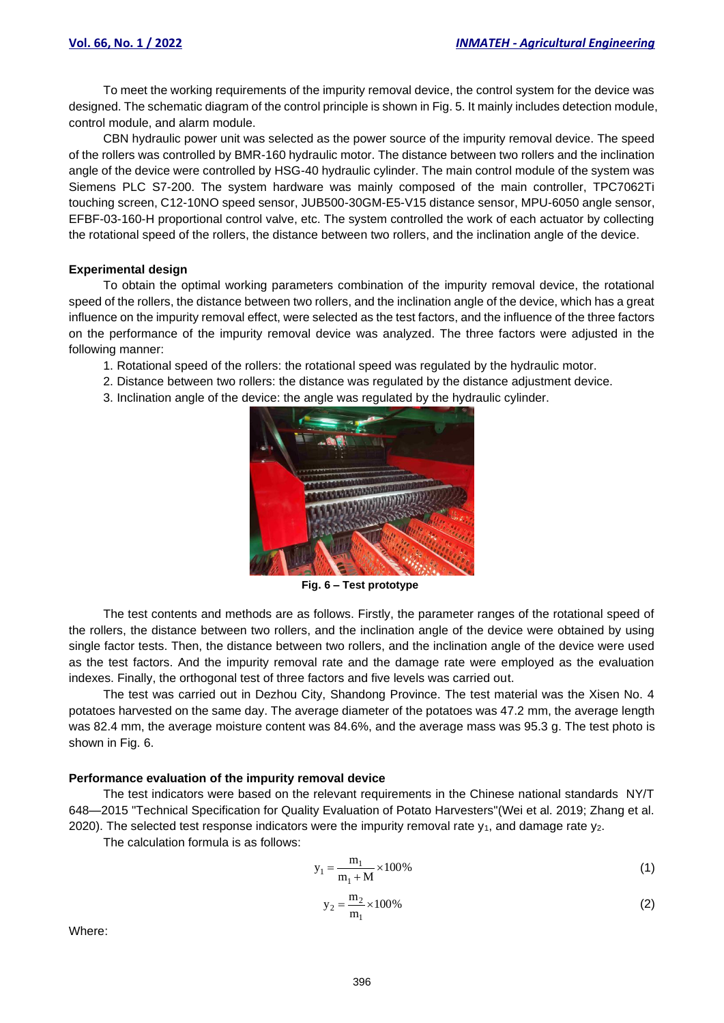To meet the working requirements of the impurity removal device, the control system for the device was designed. The schematic diagram of the control principle is shown in Fig. 5. It mainly includes detection module, control module, and alarm module.

CBN hydraulic power unit was selected as the power source of the impurity removal device. The speed of the rollers was controlled by BMR-160 hydraulic motor. The distance between two rollers and the inclination angle of the device were controlled by HSG-40 hydraulic cylinder. The main control module of the system was Siemens PLC S7-200. The system hardware was mainly composed of the main controller, TPC7062Ti touching screen, C12-10NO speed sensor, JUB500-30GM-E5-V15 distance sensor, MPU-6050 angle sensor, EFBF-03-160-H proportional control valve, etc. The system controlled the work of each actuator by collecting the rotational speed of the rollers, the distance between two rollers, and the inclination angle of the device.

# **Experimental design**

To obtain the optimal working parameters combination of the impurity removal device, the rotational speed of the rollers, the distance between two rollers, and the inclination angle of the device, which has a great influence on the impurity removal effect, were selected as the test factors, and the influence of the three factors on the performance of the impurity removal device was analyzed. The three factors were adjusted in the following manner:

- 1. Rotational speed of the rollers: the rotational speed was regulated by the hydraulic motor.
- 2. Distance between two rollers: the distance was regulated by the distance adjustment device.
- 3. Inclination angle of the device: the angle was regulated by the hydraulic cylinder.



**Fig. 6 – Test prototype** 

The test contents and methods are as follows. Firstly, the parameter ranges of the rotational speed of the rollers, the distance between two rollers, and the inclination angle of the device were obtained by using single factor tests. Then, the distance between two rollers, and the inclination angle of the device were used as the test factors. And the impurity removal rate and the damage rate were employed as the evaluation indexes. Finally, the orthogonal test of three factors and five levels was carried out.

The test was carried out in Dezhou City, Shandong Province. The test material was the Xisen No. 4 potatoes harvested on the same day. The average diameter of the potatoes was 47.2 mm, the average length was 82.4 mm, the average moisture content was 84.6%, and the average mass was 95.3 g. The test photo is shown in Fig. 6.

# **Performance evaluation of the impurity removal device**

The test indicators were based on the relevant requirements in the Chinese national standards NY/T 648—2015 "Technical Specification for Quality Evaluation of Potato Harvesters"(Wei et al. 2019; Zhang et al. 2020). The selected test response indicators were the impurity removal rate  $y_1$ , and damage rate  $y_2$ .

The calculation formula is as follows:

$$
y_1 = \frac{m_1}{m_1 + M} \times 100\%
$$
 (1)

$$
y_2 = \frac{m_2}{m_1} \times 100\%
$$
 (2)

Where: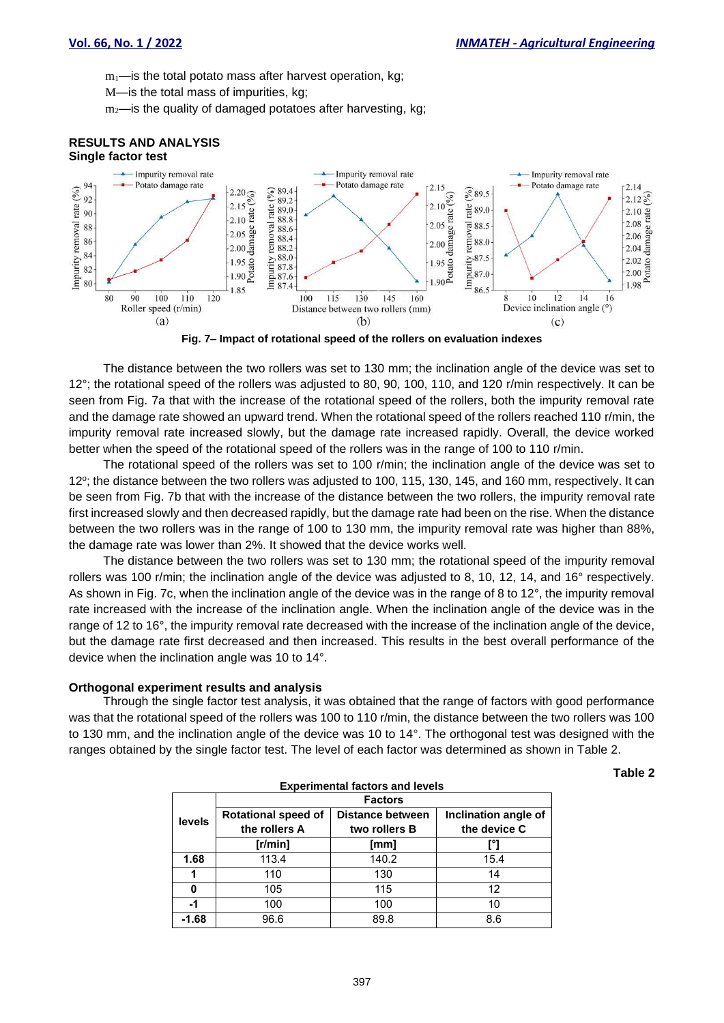$m_1$ —is the total potato mass after harvest operation, kg;

- M—is the total mass of impurities, kg;
- $m<sub>2</sub>$ —is the quality of damaged potatoes after harvesting, kg;

#### **RESULTS AND ANALYSIS Single factor test**



**Fig. 7– Impact of rotational speed of the rollers on evaluation indexes**

The distance between the two rollers was set to 130 mm; the inclination angle of the device was set to 12°; the rotational speed of the rollers was adjusted to 80, 90, 100, 110, and 120 r/min respectively. It can be seen from Fig. 7a that with the increase of the rotational speed of the rollers, both the impurity removal rate and the damage rate showed an upward trend. When the rotational speed of the rollers reached 110 r/min, the impurity removal rate increased slowly, but the damage rate increased rapidly. Overall, the device worked better when the speed of the rotational speed of the rollers was in the range of 100 to 110 r/min.

The rotational speed of the rollers was set to 100 r/min; the inclination angle of the device was set to 12 o ; the distance between the two rollers was adjusted to 100, 115, 130, 145, and 160 mm, respectively. It can be seen from Fig. 7b that with the increase of the distance between the two rollers, the impurity removal rate first increased slowly and then decreased rapidly, but the damage rate had been on the rise. When the distance between the two rollers was in the range of 100 to 130 mm, the impurity removal rate was higher than 88%, the damage rate was lower than 2%. It showed that the device works well.

The distance between the two rollers was set to 130 mm; the rotational speed of the impurity removal rollers was 100 r/min; the inclination angle of the device was adjusted to 8, 10, 12, 14, and 16° respectively. As shown in Fig. 7c, when the inclination angle of the device was in the range of 8 to 12°, the impurity removal rate increased with the increase of the inclination angle. When the inclination angle of the device was in the range of 12 to 16°, the impurity removal rate decreased with the increase of the inclination angle of the device, but the damage rate first decreased and then increased. This results in the best overall performance of the device when the inclination angle was 10 to 14°.

# **Orthogonal experiment results and analysis**

Through the single factor test analysis, it was obtained that the range of factors with good performance was that the rotational speed of the rollers was 100 to 110 r/min, the distance between the two rollers was 100 to 130 mm, and the inclination angle of the device was 10 to 14°. The orthogonal test was designed with the ranges obtained by the single factor test. The level of each factor was determined as shown in Table 2.

**Table 2**

| <b>Experimental factors and levels</b> |                            |                  |                      |  |  |  |
|----------------------------------------|----------------------------|------------------|----------------------|--|--|--|
|                                        | <b>Factors</b>             |                  |                      |  |  |  |
| levels                                 | <b>Rotational speed of</b> | Distance between | Inclination angle of |  |  |  |
|                                        | the rollers A              | two rollers B    | the device C         |  |  |  |
|                                        | [r/min]                    | [mm]             |                      |  |  |  |
| 1.68                                   | 113.4                      | 140.2            | 15.4                 |  |  |  |
|                                        | 110                        | 130              | 14                   |  |  |  |
| O                                      | 105                        | 115              | 12                   |  |  |  |
| -1                                     | 100                        | 100              | 10                   |  |  |  |
| $-1.68$                                | 96.6                       | 89.8             | 8.6                  |  |  |  |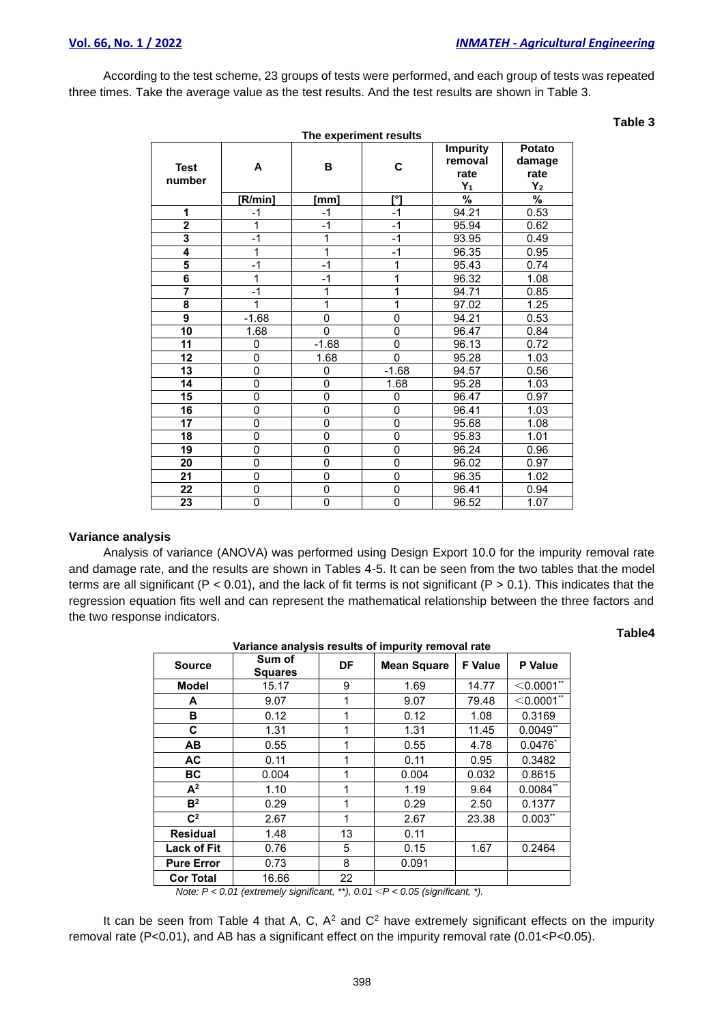**Table 3**

According to the test scheme, 23 groups of tests were performed, and each group of tests was repeated three times. Take the average value as the test results. And the test results are shown in Table 3.

|                         |                |                | The experiment results |                                             |                                   |
|-------------------------|----------------|----------------|------------------------|---------------------------------------------|-----------------------------------|
| <b>Test</b><br>number   | A              | В              | C                      | <b>Impurity</b><br>removal<br>rate<br>$Y_1$ | Potato<br>damage<br>rate<br>$Y_2$ |
|                         | [R/min]        | [mm]           | r°1                    | $\frac{9}{6}$                               | $\overline{\%}$                   |
| 1                       | $-1$           | $-1$           | $-1$                   | 94.21                                       | 0.53                              |
| $\overline{2}$          | 1              | $-1$           | $-1$                   | 95.94                                       | 0.62                              |
| 3                       | $-1$           | 1              | $-1$                   | 93.95                                       | 0.49                              |
| $\overline{4}$          | 1              | 1              | $-1$                   | 96.35                                       | 0.95                              |
| 5                       | $-1$           | $-1$           | 1                      | 95.43                                       | 0.74                              |
| $\overline{\mathbf{6}}$ | 1              | $-1$           | 1                      | 96.32                                       | 1.08                              |
| 7                       | $-1$           | 1              | 1                      | 94.71                                       | 0.85                              |
| 8                       | 1              | 1              | 1                      | 97.02                                       | 1.25                              |
| $\overline{9}$          | $-1.68$        | $\overline{0}$ | $\overline{0}$         | 94.21                                       | 0.53                              |
| 10                      | 1.68           | $\mathbf{0}$   | 0                      | 96.47                                       | 0.84                              |
| 11                      | 0              | $-1.68$        | 0                      | 96.13                                       | 0.72                              |
| 12                      | $\mathbf 0$    | 1.68           | $\overline{0}$         | 95.28                                       | 1.03                              |
| 13                      | 0              | 0              | $-1.68$                | 94.57                                       | 0.56                              |
| 14                      | $\mathbf 0$    | 0              | 1.68                   | 95.28                                       | 1.03                              |
| $\overline{15}$         | $\overline{0}$ | $\overline{0}$ | $\overline{0}$         | 96.47                                       | 0.97                              |
| 16                      | 0              | 0              | 0                      | 96.41                                       | 1.03                              |
| 17                      | 0              | 0              | $\overline{0}$         | 95.68                                       | 1.08                              |
| 18                      | 0              | 0              | 0                      | 95.83                                       | 1.01                              |
| 19                      | 0              | 0              | 0                      | 96.24                                       | 0.96                              |
| 20                      | $\overline{0}$ | 0              | 0                      | 96.02                                       | 0.97                              |
| 21                      | 0              | 0              | 0                      | 96.35                                       | 1.02                              |
| $\overline{22}$         | 0              | $\overline{0}$ | $\overline{0}$         | 96.41                                       | 0.94                              |
| 23                      | 0              | 0              | 0                      | 96.52                                       | 1.07                              |

# **Variance analysis**

Analysis of variance (ANOVA) was performed using Design Export 10.0 for the impurity removal rate and damage rate, and the results are shown in Tables 4-5. It can be seen from the two tables that the model terms are all significant ( $P < 0.01$ ), and the lack of fit terms is not significant ( $P > 0.1$ ). This indicates that the regression equation fits well and can represent the mathematical relationship between the three factors and the two response indicators.

# **Table4**

| variance analysis results of impurity removal rate |                          |           |                    |                |                      |  |
|----------------------------------------------------|--------------------------|-----------|--------------------|----------------|----------------------|--|
| <b>Source</b>                                      | Sum of<br><b>Squares</b> | <b>DF</b> | <b>Mean Square</b> | <b>F</b> Value | P Value              |  |
| <b>Model</b>                                       | 15.17                    | 9         | 1.69               | 14.77          | $<$ 0.0001 $^{\ast}$ |  |
| A                                                  | 9.07                     | 1         | 9.07               | 79.48          | $<$ 0.0001 $*$       |  |
| В                                                  | 0.12                     | 1         | 0.12               | 1.08           | 0.3169               |  |
| C.                                                 | 1.31                     | 1         | 1.31               | 11.45          | $0.0049$ **          |  |
| AВ                                                 | 0.55                     | 1         | 0.55               | 4.78           | $0.0476^{*}$         |  |
| <b>AC</b>                                          | 0.11                     | 1         | 0.11               | 0.95           | 0.3482               |  |
| <b>BC</b>                                          | 0.004                    | 1         | 0.004              | 0.032          | 0.8615               |  |
| $A^2$                                              | 1.10                     | 1         | 1.19               | 9.64           | $0.0084**$           |  |
| B <sup>2</sup>                                     | 0.29                     | 1         | 0.29               | 2.50           | 0.1377               |  |
| C <sup>2</sup>                                     | 2.67                     | 1         | 2.67               | 23.38          | $0.003**$            |  |
| <b>Residual</b>                                    | 1.48                     | 13        | 0.11               |                |                      |  |
| <b>Lack of Fit</b>                                 | 0.76                     | 5         | 0.15               | 1.67           | 0.2464               |  |
| <b>Pure Error</b>                                  | 0.73                     | 8         | 0.091              |                |                      |  |
| <b>Cor Total</b>                                   | 16.66                    | 22        |                    |                |                      |  |

**Variance analysis results of impurity removal rate**

*Note: P < 0.01 (extremely significant, \*\*), 0.01*<*P < 0.05 (significant, \*).*

It can be seen from Table 4 that A, C,  $A^2$  and  $C^2$  have extremely significant effects on the impurity removal rate (P<0.01), and AB has a significant effect on the impurity removal rate (0.01<P<0.05).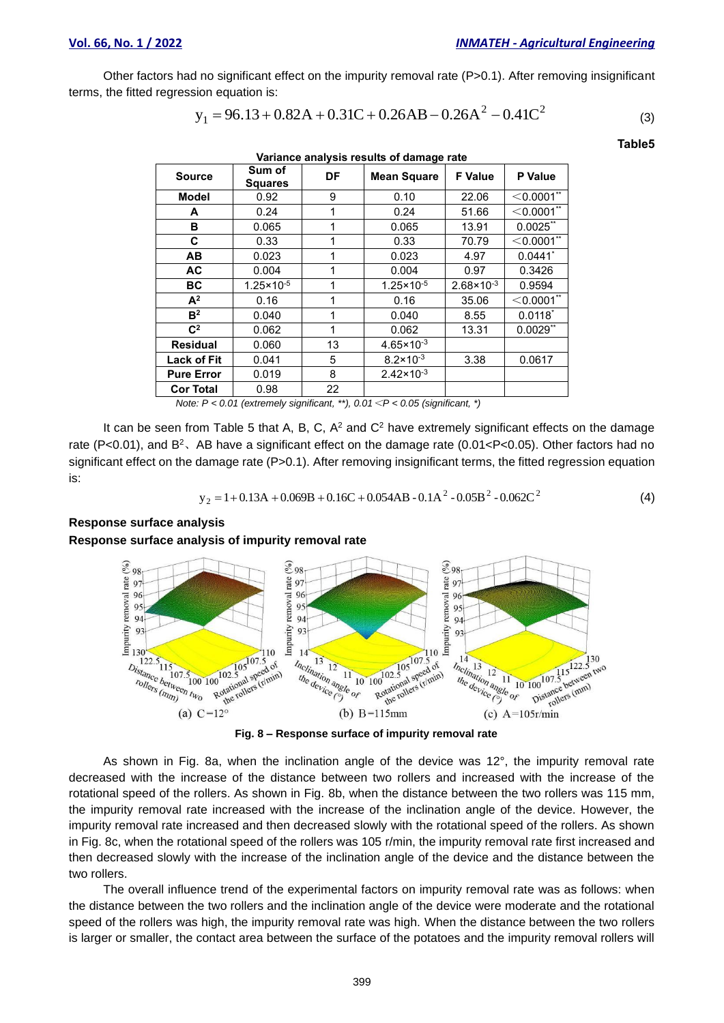Other factors had no significant effect on the impurity removal rate (P>0.1). After removing insignificant terms, the fitted regression equation is:

$$
y_1 = 96.13 + 0.82A + 0.31C + 0.26AB - 0.26A^2 - 0.41C^2
$$
 (3)

**Table5**

| Variance analysis results of damage rate |                          |              |                       |                       |                            |  |
|------------------------------------------|--------------------------|--------------|-----------------------|-----------------------|----------------------------|--|
| <b>Source</b>                            | Sum of<br><b>Squares</b> | DF           | <b>Mean Square</b>    | <b>F</b> Value        | <b>P</b> Value             |  |
| Model                                    | 0.92                     | 9            | 0.10                  | 22.06                 | $<$ 0.0001 $^{\star\star}$ |  |
| A                                        | 0.24                     | 1            | 0.24                  | 51.66                 | $<$ 0.0001 $^{\ast}$       |  |
| в                                        | 0.065                    | 1            | 0.065                 | 13.91                 | $0.0025$ **                |  |
| C                                        | 0.33                     | $\mathbf{1}$ | 0.33                  | 70.79                 | $<$ 0.0001 $*$             |  |
| <b>AB</b>                                | 0.023                    | 1            | 0.023                 | 4.97                  | $0.0441$ *                 |  |
| <b>AC</b>                                | 0.004                    | 1            | 0.004                 | 0.97                  | 0.3426                     |  |
| ВC                                       | $1.25 \times 10^{-5}$    | 1            | $1.25 \times 10^{-5}$ | $2.68 \times 10^{-3}$ | 0.9594                     |  |
| $A^2$                                    | 0.16                     | 1            | 0.16                  | 35.06                 | $<$ 0.0001 $*$             |  |
| B <sup>2</sup>                           | 0.040                    | 1            | 0.040                 | 8.55                  | $0.0118^*$                 |  |
| $C^2$                                    | 0.062                    | 1            | 0.062                 | 13.31                 | $0.0029$ **                |  |
| <b>Residual</b>                          | 0.060                    | 13           | $4.65 \times 10^{-3}$ |                       |                            |  |
| <b>Lack of Fit</b>                       | 0.041                    | 5            | $8.2 \times 10^{-3}$  | 3.38                  | 0.0617                     |  |
| <b>Pure Error</b>                        | 0.019                    | 8            | $2.42 \times 10^{-3}$ |                       |                            |  |
| <b>Cor Total</b>                         | 0.98                     | 22           |                       |                       |                            |  |

*Note: P < 0.01 (extremely significant, \*\*), 0.01*<*P < 0.05 (significant, \*)*

It can be seen from Table 5 that A, B, C,  $A^2$  and  $C^2$  have extremely significant effects on the damage rate (P<0.01), and  $B^2$ , AB have a significant effect on the damage rate (0.01<P<0.05). Other factors had no significant effect on the damage rate (P>0.1). After removing insignificant terms, the fitted regression equation is:

$$
y_2 = 1 + 0.13A + 0.069B + 0.16C + 0.054AB - 0.1A^2 - 0.05B^2 - 0.062C^2
$$
 (4)

#### **Response surface analysis**

**Response surface analysis of impurity removal rate** 



**Fig. 8 – Response surface of impurity removal rate**

As shown in Fig. 8a, when the inclination angle of the device was 12°, the impurity removal rate decreased with the increase of the distance between two rollers and increased with the increase of the rotational speed of the rollers. As shown in Fig. 8b, when the distance between the two rollers was 115 mm, the impurity removal rate increased with the increase of the inclination angle of the device. However, the impurity removal rate increased and then decreased slowly with the rotational speed of the rollers. As shown in Fig. 8c, when the rotational speed of the rollers was 105 r/min, the impurity removal rate first increased and then decreased slowly with the increase of the inclination angle of the device and the distance between the two rollers.

The overall influence trend of the experimental factors on impurity removal rate was as follows: when the distance between the two rollers and the inclination angle of the device were moderate and the rotational speed of the rollers was high, the impurity removal rate was high. When the distance between the two rollers is larger or smaller, the contact area between the surface of the potatoes and the impurity removal rollers will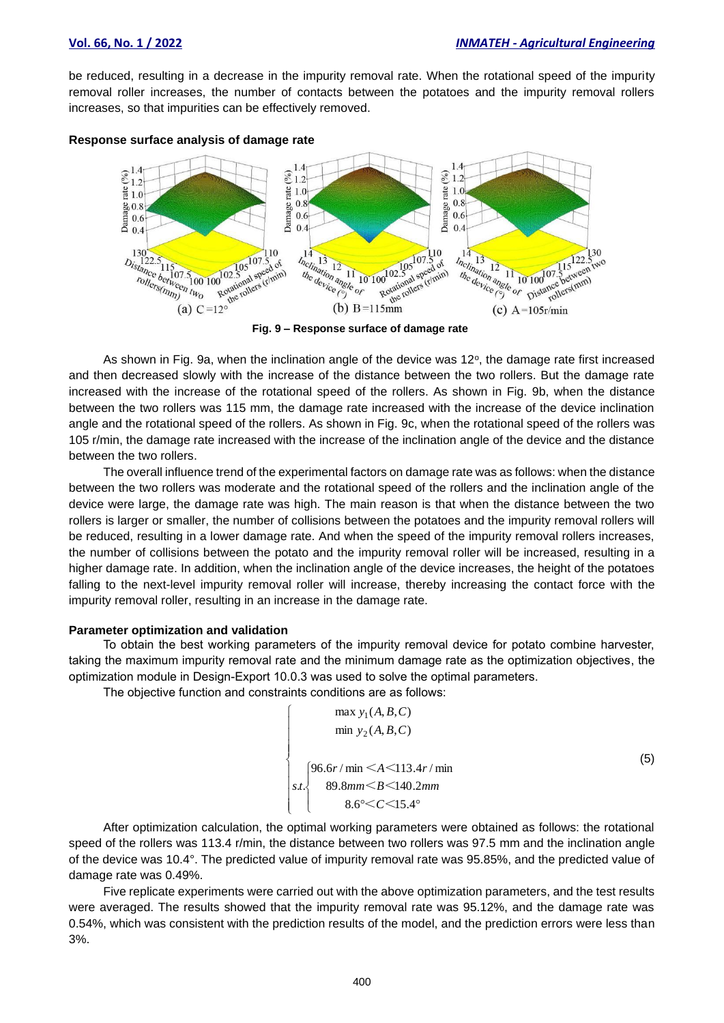be reduced, resulting in a decrease in the impurity removal rate. When the rotational speed of the impurity removal roller increases, the number of contacts between the potatoes and the impurity removal rollers increases, so that impurities can be effectively removed.





**Fig. 9 – Response surface of damage rate**

As shown in Fig. 9a, when the inclination angle of the device was 12 $\degree$ , the damage rate first increased and then decreased slowly with the increase of the distance between the two rollers. But the damage rate increased with the increase of the rotational speed of the rollers. As shown in Fig. 9b, when the distance between the two rollers was 115 mm, the damage rate increased with the increase of the device inclination angle and the rotational speed of the rollers. As shown in Fig. 9c, when the rotational speed of the rollers was 105 r/min, the damage rate increased with the increase of the inclination angle of the device and the distance between the two rollers.

The overall influence trend of the experimental factors on damage rate was as follows: when the distance between the two rollers was moderate and the rotational speed of the rollers and the inclination angle of the device were large, the damage rate was high. The main reason is that when the distance between the two rollers is larger or smaller, the number of collisions between the potatoes and the impurity removal rollers will be reduced, resulting in a lower damage rate. And when the speed of the impurity removal rollers increases, the number of collisions between the potato and the impurity removal roller will be increased, resulting in a higher damage rate. In addition, when the inclination angle of the device increases, the height of the potatoes falling to the next-level impurity removal roller will increase, thereby increasing the contact force with the impurity removal roller, resulting in an increase in the damage rate.

#### **Parameter optimization and validation**

To obtain the best working parameters of the impurity removal device for potato combine harvester, taking the maximum impurity removal rate and the minimum damage rate as the optimization objectives, the optimization module in Design-Export 10.0.3 was used to solve the optimal parameters.

The objective function and constraints conditions are as follows:

$$
\begin{cases}\n\max y_1(A, B, C) \\
\min y_2(A, B, C)\n\end{cases}
$$
\n(5)\n
$$
\begin{cases}\n96.6r / \min < A < 113.4r / \min \\
89.8mm < B < 140.2mm \\
8.6^{\circ} < C < 15.4^{\circ}\n\end{cases}
$$

After optimization calculation, the optimal working parameters were obtained as follows: the rotational speed of the rollers was 113.4 r/min, the distance between two rollers was 97.5 mm and the inclination angle of the device was 10.4°. The predicted value of impurity removal rate was 95.85%, and the predicted value of damage rate was 0.49%.

Five replicate experiments were carried out with the above optimization parameters, and the test results were averaged. The results showed that the impurity removal rate was 95.12%, and the damage rate was 0.54%, which was consistent with the prediction results of the model, and the prediction errors were less than 3%.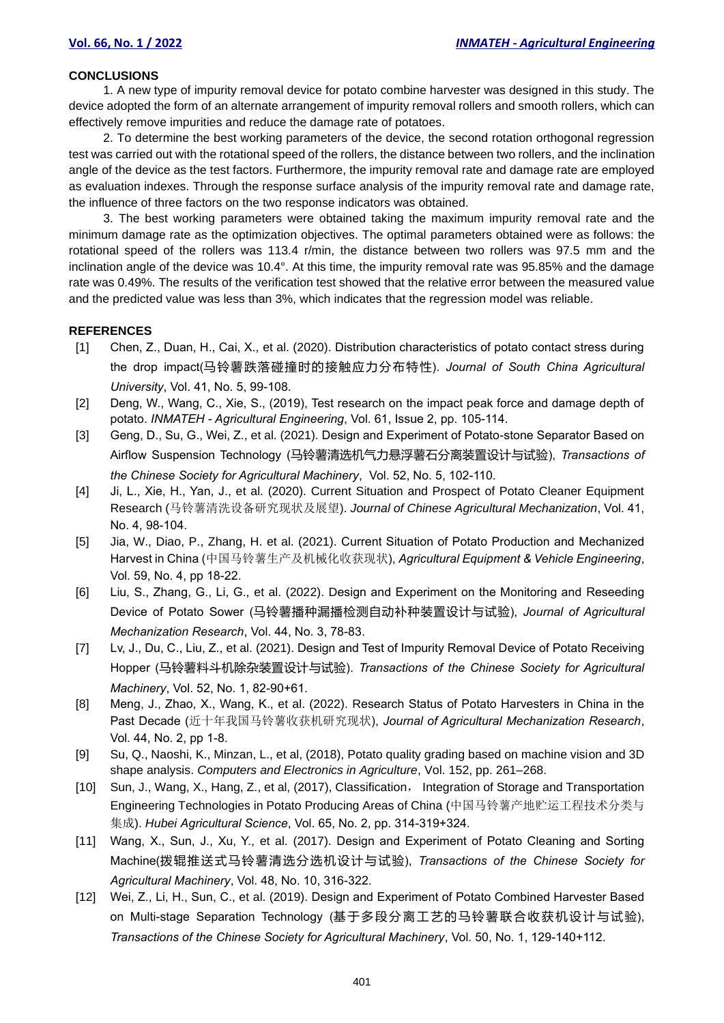#### **CONCLUSIONS**

1. A new type of impurity removal device for potato combine harvester was designed in this study. The device adopted the form of an alternate arrangement of impurity removal rollers and smooth rollers, which can effectively remove impurities and reduce the damage rate of potatoes.

2. To determine the best working parameters of the device, the second rotation orthogonal regression test was carried out with the rotational speed of the rollers, the distance between two rollers, and the inclination angle of the device as the test factors. Furthermore, the impurity removal rate and damage rate are employed as evaluation indexes. Through the response surface analysis of the impurity removal rate and damage rate, the influence of three factors on the two response indicators was obtained.

3. The best working parameters were obtained taking the maximum impurity removal rate and the minimum damage rate as the optimization objectives. The optimal parameters obtained were as follows: the rotational speed of the rollers was 113.4 r/min, the distance between two rollers was 97.5 mm and the inclination angle of the device was 10.4°. At this time, the impurity removal rate was 95.85% and the damage rate was 0.49%. The results of the verification test showed that the relative error between the measured value and the predicted value was less than 3%, which indicates that the regression model was reliable.

# **REFERENCES**

- [1] Chen, Z., Duan, H., Cai, X., et al. (2020). Distribution characteristics of potato contact stress during the drop impact(马铃薯跌落碰撞时的接触应力分布特性). *Journal of South China Agricultural University*, Vol. 41, No. 5, 99-108.
- [2] Deng, W., Wang, C., Xie, S., (2019), Test research on the impact peak force and damage depth of potato. *INMATEH - Agricultural Engineering*, Vol. 61, Issue 2, pp. 105-114.
- [3] Geng, D., Su, G., Wei, Z., et al. (2021). Design and Experiment of Potato-stone Separator Based on Airflow Suspension Technology (马铃薯清选机气力悬浮薯石分离装置设计与试验), *Transactions of the Chinese Society for Agricultural Machinery*, Vol. 52, No. 5, 102-110.
- [4] Ji, L., Xie, H., Yan, J., et al. (2020). Current Situation and Prospect of Potato Cleaner Equipment Research (马铃薯清洗设备研究现状及展望). *Journal of Chinese Agricultural Mechanization*, Vol. 41, No. 4, 98-104.
- [5] Jia, W., Diao, P., Zhang, H. et al. (2021). Current Situation of Potato Production and Mechanized Harvest in China (中国马铃薯生产及机械化收获现状), *Agricultural Equipment & Vehicle Engineering*, Vol. 59, No. 4, pp 18-22.
- [6] Liu, S., Zhang, G., Li, G., et al. (2022). Design and Experiment on the Monitoring and Reseeding Device of Potato Sower (马铃薯播种漏播检测自动补种装置设计与试验), *Journal of Agricultural Mechanization Research*, Vol. 44, No. 3, 78-83.
- [7] Lv, J., Du, C., Liu, Z., et al. (2021). Design and Test of Impurity Removal Device of Potato Receiving Hopper (马铃薯料斗机除杂装置设计与试验). *Transactions of the Chinese Society for Agricultural Machinery*, Vol. 52, No. 1, 82-90+61.
- [8] Meng, J., Zhao, X., Wang, K., et al. (2022). Research Status of Potato Harvesters in China in the Past Decade (近十年我国马铃薯收获机研究现状), *Journal of Agricultural Mechanization Research*, Vol. 44, No. 2, pp 1-8.
- [9] Su, Q., Naoshi, K., Minzan, L., et al, (2018), Potato quality grading based on machine vision and 3D shape analysis. *Computers and Electronics in Agriculture*, Vol. 152, pp. 261–268.
- [10] Sun, J., Wang, X., Hang, Z., et al, (2017), Classification, Integration of Storage and Transportation Engineering Technologies in Potato Producing Areas of China (中国马铃薯产地贮运工程技术分类与 集成). *Hubei Agricultural Science*, Vol. 65, No. 2, pp. 314-319+324.
- [11] Wang, X., Sun, J., Xu, Y., et al. (2017). Design and Experiment of Potato Cleaning and Sorting Machine(拨辊推送式马铃薯清选分选机设计与试验), *Transactions of the Chinese Society for Agricultural Machinery*, Vol. 48, No. 10, 316-322.
- [12] Wei, Z., Li, H., Sun, C., et al. (2019). Design and Experiment of Potato Combined Harvester Based on Multi-stage Separation Technology (基于多段分离工艺的马铃薯联合收获机设计与试验), *Transactions of the Chinese Society for Agricultural Machinery*, Vol. 50, No. 1, 129-140+112.